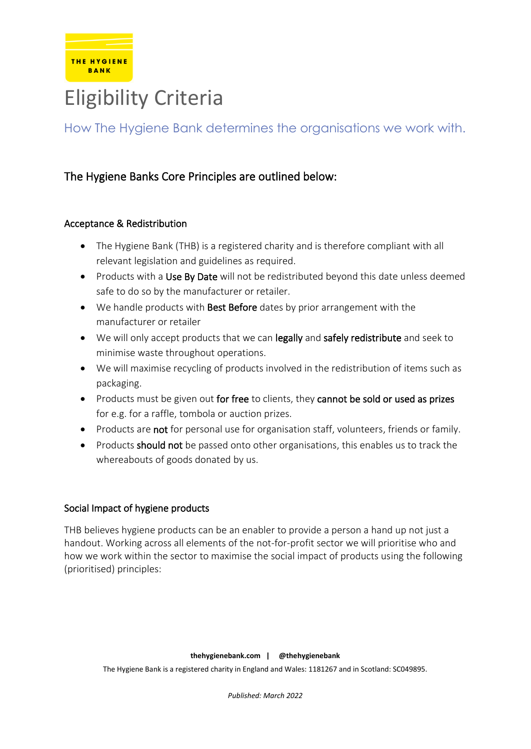

# Eligibility Criteria

How The Hygiene Bank determines the organisations we work with.

# The Hygiene Banks Core Principles are outlined below:

### Acceptance & Redistribution

- The Hygiene Bank (THB) is a registered charity and is therefore compliant with all relevant legislation and guidelines as required.
- Products with a Use By Date will not be redistributed beyond this date unless deemed safe to do so by the manufacturer or retailer.
- We handle products with Best Before dates by prior arrangement with the manufacturer or retailer
- We will only accept products that we can legally and safely redistribute and seek to minimise waste throughout operations.
- We will maximise recycling of products involved in the redistribution of items such as packaging.
- Products must be given out for free to clients, they cannot be sold or used as prizes for e.g. for a raffle, tombola or auction prizes.
- Products are not for personal use for organisation staff, volunteers, friends or family.
- Products should not be passed onto other organisations, this enables us to track the whereabouts of goods donated by us.

### Social Impact of hygiene products

THB believes hygiene products can be an enabler to provide a person a hand up not just a handout. Working across all elements of the not-for-profit sector we will prioritise who and how we work within the sector to maximise the social impact of products using the following (prioritised) principles: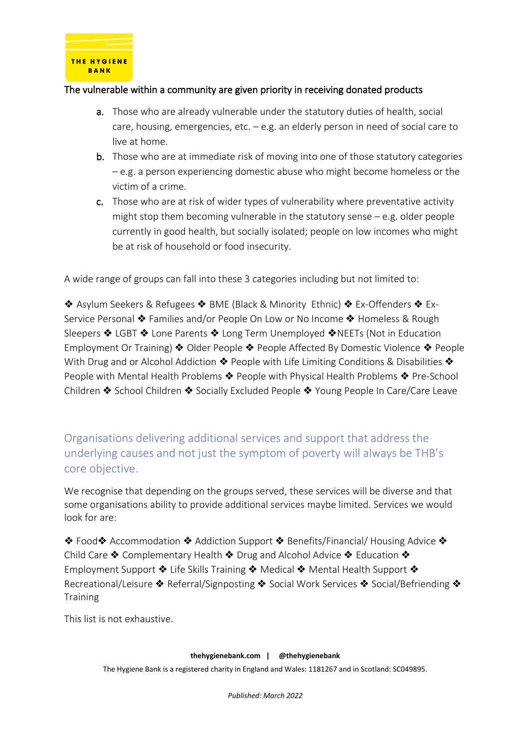

## The vulnerable within a community are given priority in receiving donated products

- a. Those who are already vulnerable under the statutory duties of health, social care, housing, emergencies, etc. – e.g. an elderly person in need of social care to live at home.
- b. Those who are at immediate risk of moving into one of those statutory categories – e.g. a person experiencing domestic abuse who might become homeless or the victim of a crime.
- c. Those who are at risk of wider types of vulnerability where preventative activity might stop them becoming vulnerable in the statutory sense  $-e.g.$  older people currently in good health, but socially isolated; people on low incomes who might be at risk of household or food insecurity.

A wide range of groups can fall into these 3 categories including but not limited to:

❖ Asylum Seekers & Refugees ❖ BME (Black & Minority Ethnic) ❖ Ex-Offenders ❖ Ex-Service Personal ❖ Families and/or People On Low or No Income ❖ Homeless & Rough Sleepers ❖ LGBT ❖ Lone Parents ❖ Long Term Unemployed ❖NEETs (Not in Education Employment Or Training) ❖ Older People ❖ People Affected By Domestic Violence ❖ People With Drug and or Alcohol Addiction ◆ People with Life Limiting Conditions & Disabilities ◆ People with Mental Health Problems ❖ People with Physical Health Problems ❖ Pre-School Children ❖ School Children ❖ Socially Excluded People ❖ Young People In Care/Care Leave

Organisations delivering additional services and support that address the underlying causes and not just the symptom of poverty will always be THB's core objective.

We recognise that depending on the groups served, these services will be diverse and that some organisations ability to provide additional services maybe limited. Services we would look for are:

❖ Food❖ Accommodation ❖ Addiction Support ❖ Benefits/Financial/ Housing Advice ❖ Child Care ❖ Complementary Health ❖ Drug and Alcohol Advice ❖ Education ❖ Employment Support ❖ Life Skills Training ❖ Medical ❖ Mental Health Support ❖ Recreational/Leisure ❖ Referral/Signposting ❖ Social Work Services ❖ Social/Befriending ❖ **Training** 

This list is not exhaustive.

#### **thehygienebank.com | @thehygienebank**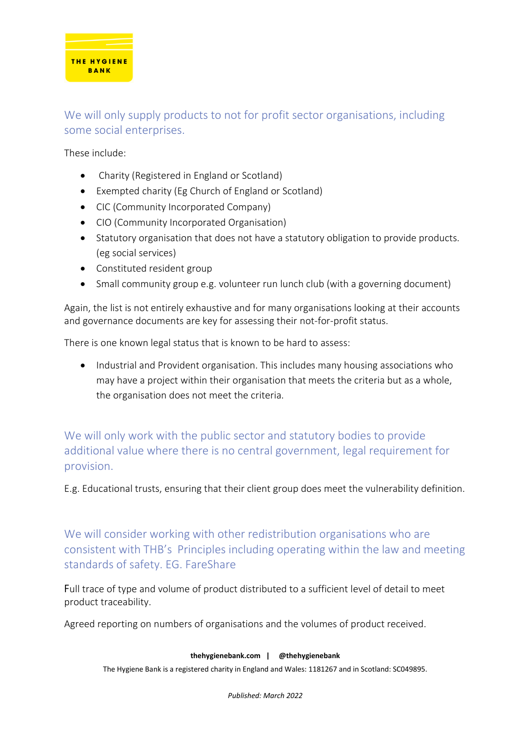

# We will only supply products to not for profit sector organisations, including some social enterprises.

These include:

- Charity (Registered in England or Scotland)
- Exempted charity (Eg Church of England or Scotland)
- CIC (Community Incorporated Company)
- CIO (Community Incorporated Organisation)
- Statutory organisation that does not have a statutory obligation to provide products. (eg social services)
- Constituted resident group
- Small community group e.g. volunteer run lunch club (with a governing document)

Again, the list is not entirely exhaustive and for many organisations looking at their accounts and governance documents are key for assessing their not-for-profit status.

There is one known legal status that is known to be hard to assess:

• Industrial and Provident organisation. This includes many housing associations who may have a project within their organisation that meets the criteria but as a whole, the organisation does not meet the criteria.

We will only work with the public sector and statutory bodies to provide additional value where there is no central government, legal requirement for provision.

E.g. Educational trusts, ensuring that their client group does meet the vulnerability definition.

We will consider working with other redistribution organisations who are consistent with THB's Principles including operating within the law and meeting standards of safety. EG. FareShare

Full trace of type and volume of product distributed to a sufficient level of detail to meet product traceability.

Agreed reporting on numbers of organisations and the volumes of product received.

#### **thehygienebank.com | @thehygienebank**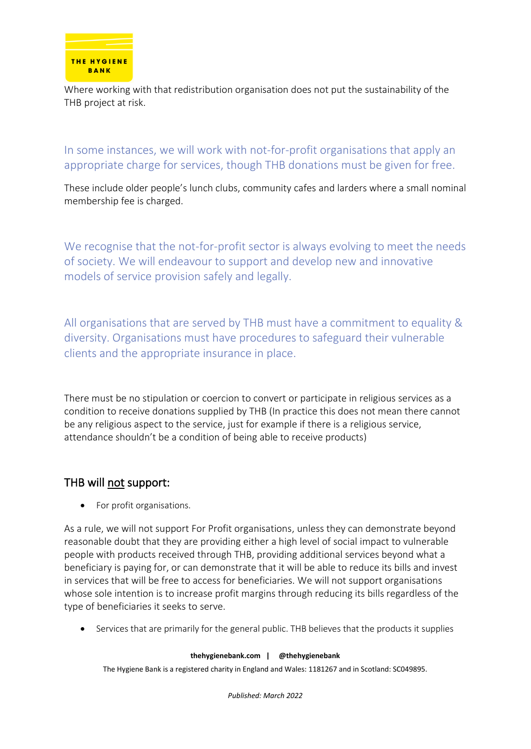

Where working with that redistribution organisation does not put the sustainability of the THB project at risk.

In some instances, we will work with not-for-profit organisations that apply an appropriate charge for services, though THB donations must be given for free.

These include older people's lunch clubs, community cafes and larders where a small nominal membership fee is charged.

We recognise that the not-for-profit sector is always evolving to meet the needs of society. We will endeavour to support and develop new and innovative models of service provision safely and legally.

All organisations that are served by THB must have a commitment to equality & diversity. Organisations must have procedures to safeguard their vulnerable clients and the appropriate insurance in place.

There must be no stipulation or coercion to convert or participate in religious services as a condition to receive donations supplied by THB (In practice this does not mean there cannot be any religious aspect to the service, just for example if there is a religious service, attendance shouldn't be a condition of being able to receive products)

## THB will not support:

• For profit organisations.

As a rule, we will not support For Profit organisations, unless they can demonstrate beyond reasonable doubt that they are providing either a high level of social impact to vulnerable people with products received through THB, providing additional services beyond what a beneficiary is paying for, or can demonstrate that it will be able to reduce its bills and invest in services that will be free to access for beneficiaries. We will not support organisations whose sole intention is to increase profit margins through reducing its bills regardless of the type of beneficiaries it seeks to serve.

• Services that are primarily for the general public. THB believes that the products it supplies

#### **thehygienebank.com | @thehygienebank**